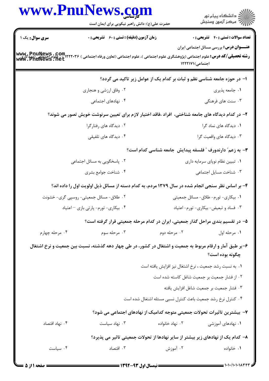|                                      | www.PnuNews.com<br>حضرت علی(ع): دانش راهبر نیکویی برای ایمان است                                                                                                             |                                                             | ڪ دانشڪاه پيام نور<br>ر∕ آرمون وسنڊش                                     |
|--------------------------------------|------------------------------------------------------------------------------------------------------------------------------------------------------------------------------|-------------------------------------------------------------|--------------------------------------------------------------------------|
| سری سوال: یک ۱                       | زمان آزمون (دقیقه) : تستی : 60 - تشریحی : 0                                                                                                                                  |                                                             | <b>تعداد سوالات : تستی : 40 قشریحی : 0</b>                               |
|                                      | <b>رشته تحصیلی/کد درس:</b> علوم اجتماعی (پژوهشگری علوم اجتماعی )، علوم اجتماعی (تعاون ورفاه اجتماعی ) ۲۲۲۰۳۶ <mark>- ، علوم اجتماعی (مددکاری )</mark><br>WWW . PNUNewS . net | اجتماعی)۱۲۲۲۱۷۱                                             | <b>عنـــوان درس:</b> بررسی مسائل اجتماعی ایران                           |
|                                      |                                                                                                                                                                              |                                                             | ا- در حوزه جامعه شناسی نظم و ثبات بر کدام یک از عوامل زیر تاکید می گردد؟ |
|                                      | ۰۲ وفاق ارزشی و هنجاری                                                                                                                                                       |                                                             | ۰۱ جامعه پذیری                                                           |
|                                      | ۰۴ نهادهای اجتماعی                                                                                                                                                           |                                                             | ۰۳ سنت های فرهنگی                                                        |
|                                      | ۲– در کدام دیدگاه های جامعه شناختی، آفراد ،فاقد اختیار لازم برای تعیین سرنوشت خویش تصور می شوند؟                                                                             |                                                             |                                                                          |
|                                      | ۰۲ دیدگاه های رفتارگرا                                                                                                                                                       |                                                             | ٠١ ديدگاه های نماد گرا                                                   |
|                                      | ۰۴ دیدگاه های تلفیقی                                                                                                                                                         |                                                             | ۰۳ دیدگاه های واقعیت گرا                                                 |
|                                      |                                                                                                                                                                              |                                                             | ۳- به زعم ؒ دارندورف ؒ فلسفه پیدایش ِ جامعه شناسی کدام است؟              |
|                                      | ۲. پاسخگویی به مسائل اجتماعی                                                                                                                                                 | ٠١ تبيين نظام نوپاى سرمايه دارى                             |                                                                          |
|                                      | ۰۴ شناخت جوامع بشرى                                                                                                                                                          |                                                             | ٠٣ شناخت مسايل اجتماعى                                                   |
|                                      | ۴- بر اساس نظر سنجی انجام شده در سال ۱۳۷۹ مردم، به کدام دسته از مسائل ذیل اولویت اول را داده اند؟                                                                            |                                                             |                                                                          |
|                                      | ۰۲ طلاق- مسائل جمعیتی- روسپی گری- خشونت                                                                                                                                      |                                                             | ۰۱ بیکاری- تورم- طلاق- مسائل جمعیتی                                      |
| ۰۴ بیکاری- تورم- پارتی بازی – اعتیاد |                                                                                                                                                                              |                                                             | ۰۳ فساد و تبعیض- بیکاری- تورم- اعتیاد                                    |
|                                      | ۵– در تقسیم بندی مراحل گذار جمعیتی، ایران در کدام مرحله جمعیتی قرار گرفته است؟                                                                                               |                                                             |                                                                          |
| ۰۴ مرحله چهارم                       | ۰۳ مرحله سوم                                                                                                                                                                 | ۰۲ مرحله دوم                                                | ۰۱ مرحله اول                                                             |
|                                      | ۶–بر طبق آمار و ارقام مربوط به جمعیت و اشتغال در کشور، در طی چهار دهه گذشته، نسبت بین جمعیت و نرخ اشتغال                                                                     |                                                             | چگونه بوده است؟                                                          |
|                                      |                                                                                                                                                                              | ٠. به نسبت رشد جمعيت ، نرخ اشتغال نيز افزايش يافته است      |                                                                          |
|                                      |                                                                                                                                                                              |                                                             | ٠٢ از فشار جمعيت بر جمعيت شاغل كاسته شده است                             |
|                                      |                                                                                                                                                                              |                                                             | ٠٣ فشار جمعيت بر جمعيت شاغل افزايش يافته                                 |
|                                      |                                                                                                                                                                              | ۰۴ کنترل نرخ رشد جمعیت باعث کنترل نسبی مسئله اشتغال شده است |                                                                          |
|                                      | ۷– بیشترین تاثیرات تحولات جمعیتی متوجه کدامیک از نهادهای اجتماعی می شود؟                                                                                                     |                                                             |                                                                          |
| ۰۴ نهاد اقتصاد                       | ۰۳ نهاد سیاست                                                                                                                                                                | ۰۲ نهاد خانواده                                             | ۰۱ نهادهای آموزشی                                                        |
|                                      | ۸– کدام یک از نهادهای زیر بیشتر از سایر نهادها از تحولات جمعیتی تاثیر می پذیرد؟                                                                                              |                                                             |                                                                          |
| ۰۴ سیاست                             | ۰۳ اقتصاد                                                                                                                                                                    | ۰۲ آموزش                                                    | ۰۱ خانواده                                                               |
|                                      |                                                                                                                                                                              |                                                             |                                                                          |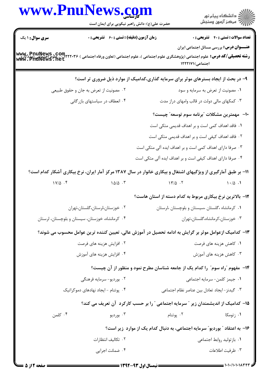| www.PnuNews.com        |                                                    |                    |                                                                                                                                                                                                                                                                                                      |  |
|------------------------|----------------------------------------------------|--------------------|------------------------------------------------------------------------------------------------------------------------------------------------------------------------------------------------------------------------------------------------------------------------------------------------------|--|
|                        | حضرت علی(ع): دانش راهبر نیکویی برای ایمان است      |                    | انشڪاه پيام نور<br>اڳ مرڪز آزمون وسنڊش                                                                                                                                                                                                                                                               |  |
| <b>سری سوال : ۱ یک</b> | <b>زمان آزمون (دقیقه) : تستی : 60 ٪ تشریحی : 0</b> |                    | <b>تعداد سوالات : تستی : 40 قشریحی : 0</b>                                                                                                                                                                                                                                                           |  |
|                        |                                                    |                    | <b>عنـــوان درس:</b> بررسی مسائل اجتماعی ایران<br>رشته تحصیلی/کد درس: علوم اجتماعی (پژوهشگری علوم اجتماعی )، علوم اجتماعی (تعاون ورفاه اجتماعی ) www. PnuNews .com<br>رشته تحصیلی/کد درس: علوم اجتماعی (پژوهشگری علوم اجتماعی )، علوم اجتماعی (تعاون ورفاه اجتماعی ) www. PnuNews<br>اجتماعی)۱۲۲۲۱۷۱ |  |
|                        |                                                    |                    | ۹- در بحث از ایجاد بسترهای موثر برای سرمایه گذاری،کدامیک از موارد ذیل ضروری تر است؟                                                                                                                                                                                                                  |  |
|                        | ۰۲ مصونیت از تعرض به جان و حقوق طبیعی              |                    | ۰۱ مصونیت از تعرض به سرمایه و سود                                                                                                                                                                                                                                                                    |  |
|                        | ۰۴ انعطاف در سیاستهای بازرگانی                     |                    | ۰۳ کمکهای مالی دولت در قالب وامهای دراز مدت                                                                                                                                                                                                                                                          |  |
|                        |                                                    |                    | ∙ا− مهمترین مشکلات "برنامه سوم توسعه″ چیست؟                                                                                                                                                                                                                                                          |  |
|                        |                                                    |                    | ۰۱ فاقد اهداف کمی است و بر اهداف قدیمی متکی است                                                                                                                                                                                                                                                      |  |
|                        |                                                    |                    | ۰۲ فاقد اهداف کیفی است و بر اهداف قدیمی متکی است                                                                                                                                                                                                                                                     |  |
|                        |                                                    |                    | ۰۳ صرفا دارای اهداف کمی است و بر اهداف ایده آلی متکی است                                                                                                                                                                                                                                             |  |
|                        |                                                    |                    | ۰۴ صرفا دارای اهداف کیفی است و بر اهداف ایده آلی متکی است                                                                                                                                                                                                                                            |  |
|                        |                                                    |                    | 11- بر طبق آمارگیری از ویژگیهای اشتغال و بیکاری خانوار در سال ۱۳۸۷ مرکز آمار ایران، نرخ بیکاری آشکار کدام است؟                                                                                                                                                                                       |  |
| $1V/\Delta$ .          |                                                    | $\frac{10}{0}$ . T | $1 - 10$ .                                                                                                                                                                                                                                                                                           |  |
|                        |                                                    |                    | ۱۲– بالاترین نرخ بیکاری مربوط به کدام دسته از استان هاست؟                                                                                                                                                                                                                                            |  |
|                        | ٠٢ خوزستان،لرستان،گلستان،تهران                     |                    | ٠١ كرمانشاه ،گلستان ،سيستان و بلوچستان ،لرستان                                                                                                                                                                                                                                                       |  |
|                        | ۰۴ کرمانشاه، خوزستان، سیستان و بلوچستان، لرستان    |                    | ۰۳ خوزستان، كرمانشاه، گلستان، تهران                                                                                                                                                                                                                                                                  |  |
|                        |                                                    |                    | ۱۳– کدامیک ازعوامل موثر بر گرایش به ادامه تحصیل در آموزش عالی، تعیین کننده ترین عوامل محسوب می شوند؟                                                                                                                                                                                                 |  |
|                        | ۰۲ افزایش هزینه های فرصت                           |                    | ۰۱ کاهش هزینه های فرصت                                                                                                                                                                                                                                                                               |  |
|                        | ۰۴ افزایش هزینه های آموزش                          |                    | ۰۳ کاهش هزینه های آموزش                                                                                                                                                                                                                                                                              |  |
|                        |                                                    |                    | ۱۴- ً مفهوم "راه سوم" ً را کدام یک از جامعه شناسان مطرح نمود و منظور از آن چیست؟                                                                                                                                                                                                                     |  |
|                        | ۰۲ بورديو- سرمايه فرهنگي                           |                    | ٠١ جيمز كلمن- سرمايه اجتماعي                                                                                                                                                                                                                                                                         |  |
|                        | ۰۴ پوتنام - ایجاد نهادهای دموکراتیک                |                    | ٠٣ گيدنز-ايجاد تعادل بين عناصر نظام اجتماعي                                                                                                                                                                                                                                                          |  |
|                        |                                                    |                    | ۱۵- کدامیک از اندیشمندان زیر ″ سرمایه اجتماعی ″ را بر حسب کارکرد آن تعریف می کند؟                                                                                                                                                                                                                    |  |
| ۰۴ کلمن                | ۰۳ بورديو                                          | ۰۲ پوتنام          | ۰۱ زتومکا                                                                                                                                                                                                                                                                                            |  |
|                        |                                                    |                    | ۱۶- به اعتقاد ″ بوردیو″ سرمایه اجتماعی، به دنبال کدام یک از موارد زیر است؟                                                                                                                                                                                                                           |  |
|                        | ٢. تكاليف انتظارات                                 |                    | ٠١. بازتوليد روابط اجتماعي                                                                                                                                                                                                                                                                           |  |
|                        | ۰۴ ضمانت اجرایی                                    |                    | ۰۳ ظرفیت اطلاعات                                                                                                                                                                                                                                                                                     |  |
|                        |                                                    |                    |                                                                                                                                                                                                                                                                                                      |  |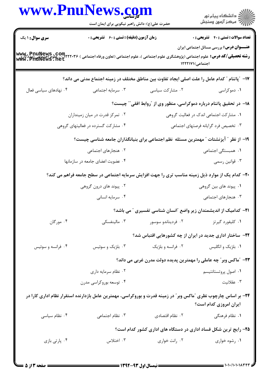| ڪ دانشڪاه پيام نور<br>∕ مرڪز آزمون وسنڊش                                                                           |                   | <b>www.PnuNews.co</b><br>حضرت علی(ع): دانش راهبر نیکویی برای ایمان است                                                                                        |                                           |
|--------------------------------------------------------------------------------------------------------------------|-------------------|---------------------------------------------------------------------------------------------------------------------------------------------------------------|-------------------------------------------|
| <b>تعداد سوالات : تستی : 40 ٪ تشریحی : 0</b><br><b>عنـــوان درس:</b> بررسی مسائل اجتماعی ایران<br>اجتماعی) ۱۲۲۲۱۷۱ |                   | <b>زمان آزمون (دقیقه) : تستی : 60 ٪ تشریحی : 0</b><br><b>رشته تحصیلی/کد درس:</b> علوم اجتماعی (پژوهشگری علوم اجتماعی )، علوم اجتماعی (تعاون ورفاه اجتماعی ) ۶ | <b>سری سوال : ۱ یک</b><br>www.pnuNews.com |
|                                                                                                                    |                   | ۱۷− ″پاتنام ″ کدام عامل را علت اصلی ایجاد تفاوت بین مناطق مختلف در زمینه اجتماع مدنی می داند؟                                                                 |                                           |
| ۰۱ دموکراسی                                                                                                        | ۰۲ مشارکت سیاسی   | ۰۳ سرمایه اجتماعی                                                                                                                                             | ۰۴ نهادهای سیاسی فعال                     |
| ۱۸– در تحقیق پاتنام درباره دموکراسی، منظور وی از ″روابط افقی ّ ّ چیست؟                                             |                   |                                                                                                                                                               |                                           |
| ۰۱ مشارکت اجتماعی اندک در فعالیت گروهی                                                                             |                   | ۰۲ تمرکز قدرت در میان زمینداران                                                                                                                               |                                           |
| ۰۳ تخصیص فرد گرایانه فرصتهای اجتماعی                                                                               |                   | ۰۴ مشارکت گسترده در فعالیتهای گروهی                                                                                                                           |                                           |
|                                                                                                                    |                   | ۱۹– از نظر ″ آیزنشتات ″ مهمترین مسئله  نظم اجتماعی برای بنیانگذاران جامعه شناسی چیست؟                                                                         |                                           |
| ٠١ همبستگى اجتماعى                                                                                                 |                   | ۰۲ هنجارهای اجتماعی                                                                                                                                           |                                           |
| ۰۳ قوانین رسمي                                                                                                     |                   | ۰۴ عضویت اعضای جامعه در سازمانها                                                                                                                              |                                           |
|                                                                                                                    |                   | +۲- کدام یک از موارد ذیل زمینه مناسب تری را جهت افزایش سرمایه اجتماعی در سطح جامعه فراهم می کند؟                                                              |                                           |
| ۰۱ پیوند های بین گروهی                                                                                             |                   | ۰۲ پیوند های درون گروهی                                                                                                                                       |                                           |
| ۰۳ هنجارهای اجتماعی                                                                                                | ۰۴ سرمايه انسانى  |                                                                                                                                                               |                                           |
| <b>۲۱</b> – کدامیک از اندیشمندان زیر واضع آانسان شناسی تفسیری آ می باشد؟                                           |                   |                                                                                                                                                               |                                           |
| ۰۱ کلیفورد گیرتز مستخدم است. ۲۰ فردیناندو سوسور                                                                    |                   | ۰۳ مالینفسکی                                                                                                                                                  | ۰۴ مورگان                                 |
| ۲۲– ساختار اداری جدید در ایران از چه کشورهایی اقتباس شد؟                                                           |                   |                                                                                                                                                               |                                           |
| ۰۱ بلژیک و انگلیس                                                                                                  | ۰۲ فرانسه و بلژیک | ۰۳ بلژیک و سوئیس                                                                                                                                              | ۰۴ فرانسه و سوئیس                         |
| ۲۳- ″ماکس وبر″ چه عاملی را مهمترین پدیده دولت مدرن غربی می داند؟                                                   |                   |                                                                                                                                                               |                                           |
| ۰۱ اصول پروتستانتیسم                                                                                               |                   | ۰۲ نظام سرمایه داری                                                                                                                                           |                                           |
| ۰۳ عقلانیت                                                                                                         |                   | ۰۴ توسعه بوروکراسی مدرن                                                                                                                                       |                                           |
| ایران امروزی کدام است؟                                                                                             |                   | ۲۴- بر اساس چارچوب نظری "ماکس وبر" در زمینه قدرت و بوروکراسی، مهمترین عامل بازدارنده استقرار نظام اداری کارا در                                               |                                           |
| ۰۱ نظام فرهنگی                                                                                                     | ۰۲ نظام اقتصادی   | ۰۳ نظام اجتماعی                                                                                                                                               | ۰۴ نظام سیاسی                             |
| ۲۵- رایج ترین شکل فساد اداری در دستگاه های اداری کشور کدام است؟                                                    |                   |                                                                                                                                                               |                                           |
| ۰۱ رشوه خواری                                                                                                      | ۰۲ رانت خواری     | ۰۳ اختلاس                                                                                                                                                     | ۰۴ پارتی بازی                             |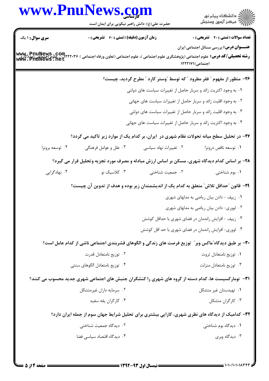| www.PnuNews.com                                                                                                                                                                 |                                                    |                                                                |                                                                                                            |
|---------------------------------------------------------------------------------------------------------------------------------------------------------------------------------|----------------------------------------------------|----------------------------------------------------------------|------------------------------------------------------------------------------------------------------------|
|                                                                                                                                                                                 | حضرت علی(ع): دانش راهبر نیکویی برای ایمان است      |                                                                | ر<br>اي دانشڪاه پيام نور<br>اي                                                                             |
| <b>سری سوال : ۱ یک</b>                                                                                                                                                          | <b>زمان آزمون (دقیقه) : تستی : 60 ٪ تشریحی : 0</b> |                                                                | <b>تعداد سوالات : تستی : 40 ٪ تشریحی : 0</b>                                                               |
| <b> www_PnuNews .com  </b><br>  <b>رشته تحصیلی/کد درس:</b> علوم اجتماعی (پژوهشگری علوم اجتماعی )، علوم اجتماعی (تعاون ورفاه اجتماعی ) ۱۳۲۲-۲۰۲۴ = علوم<br>  www . PnuNews . net |                                                    |                                                                | <b>عنـــوان درس:</b> بررسی مسائل اجتماعی ایران<br>اجتماعی)۱۲۲۲۱۷۱                                          |
|                                                                                                                                                                                 |                                                    |                                                                | ۲۶– منظور از مفهوم " فقر مطرود " که توسط "وستر کارد " مطرح گردید، چیست؟                                    |
|                                                                                                                                                                                 |                                                    | ۰۱ به وجود اکثریت زائد و سربار حاصل از تغییرات سیاست های دولتی |                                                                                                            |
|                                                                                                                                                                                 |                                                    | ۰۲ به وجود اقلیت زائد و سربار حاصل از تغییرات سیاست های جهانی  |                                                                                                            |
|                                                                                                                                                                                 |                                                    | ۰۳ به وجود اقلیت زائد و سربار حاصل از تغییرات سیاست های دولتی  |                                                                                                            |
|                                                                                                                                                                                 |                                                    | ۰۴ به وجود اکثریت زائد و سربار حاصل از تغییرات سیاست های جهانی |                                                                                                            |
|                                                                                                                                                                                 |                                                    |                                                                | ۲۷- در تحلیل سطح میانه تحولات نظام شهری در آیران، بر کدام یک از موارد زیر تاکید می گردد؟                   |
| ۰۴ توسعه برونزا                                                                                                                                                                 | ۰۳ علل و عوامل فرهنگی                              | ۰۲ تغییرات نهاد سیاسی                                          | ٠١ توسعه ناقص درونزا                                                                                       |
|                                                                                                                                                                                 |                                                    |                                                                | ۲۸- بر اساس کدام دیدگاه شهری، مسکن بر اساس ارزش مبادله و مصرف مورد تجزیه وتحلیل قرار می گیرد؟              |
| ۰۴ نهادگرایی                                                                                                                                                                    | ۰۳ کلاسیک نو                                       | ۰۲ جمعیت شناختی                                                | ۰۱ بوم شناختی                                                                                              |
|                                                                                                                                                                                 |                                                    |                                                                | ۲۹– قانون ″حداقل تلاش″ متعلق به کدام یک از اندیشمندان زیر بوده و هدف از تدوین آن چیست؟                     |
|                                                                                                                                                                                 |                                                    |                                                                | ۰۱ زیپف - دادن بیان ریاضی به مدلهای شهری                                                                   |
|                                                                                                                                                                                 |                                                    |                                                                | ۰۲ لووری- دادن بیان ریاضی به مدلهای شهری                                                                   |
|                                                                                                                                                                                 |                                                    |                                                                | ۰۳ زیپف - افزایش راندمان در فضای شهری با حداقل کوشش                                                        |
|                                                                                                                                                                                 |                                                    |                                                                | ۰۴ لووری- افزایش راندمان در فضای شهری با حد اقل کوشش                                                       |
|                                                                                                                                                                                 |                                                    |                                                                | ۳۰- بر طبق دیدگاه ّماکس وبر ّ توزیع فرصت های زندگی و الگوهای قشربندی اجتماعی ناشی از کدام عامل است؟        |
|                                                                                                                                                                                 | ۰۲ توزیع نامتعادل قدرت                             |                                                                | ۰۱ توزیع نامتعادل ثروت                                                                                     |
|                                                                                                                                                                                 | ۰۴ توزیع نامتعادل الگوهای سنتی                     |                                                                | ۰۳ توزيع نامتعادل منزلت                                                                                    |
|                                                                                                                                                                                 |                                                    |                                                                | <b>۳۱</b> - نومارکسیست ها، کدام دسته از گروه های شهری را کنشگران جنبش های اجتماعی شهری جدید محسوب می کنند؟ |
|                                                                                                                                                                                 | ۰۲ سرمایه داران غیرمتشکل                           |                                                                | ۰۱ تهیدستان غیر متشکل                                                                                      |
|                                                                                                                                                                                 | ۰۴ کارگران يقه سفيد                                |                                                                | ۰۳ کارگران متشکل                                                                                           |
|                                                                                                                                                                                 |                                                    |                                                                | ۳۲- کدامیک از دیدگاه های نظری شهری، کارایی بیشتری برای تحلیل شرایط جهان سوم از جمله ایران دارد؟            |
|                                                                                                                                                                                 | ۰۲ دیدگاه جمعیت شناختی                             |                                                                | ۰۱ دیدگاه بوم شناختی                                                                                       |
|                                                                                                                                                                                 | ۰۴ دیدگاه اقتصاد سیاسی فضا                         |                                                                | ۰۳ دیدگاه وبری                                                                                             |
|                                                                                                                                                                                 |                                                    |                                                                |                                                                                                            |